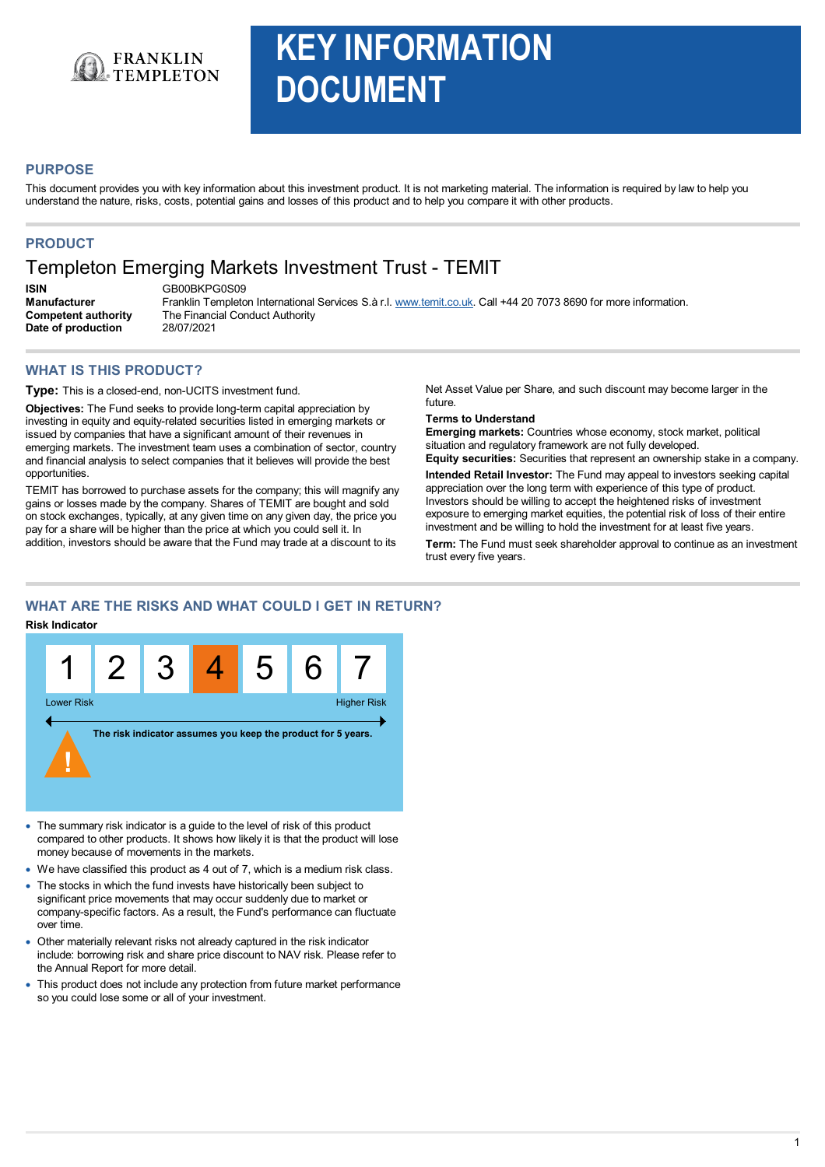

# **KEY INFORMATION DOCUMENT**

# **PURPOSE**

This document provides you with key information about this investment product. It is not marketing material. The information is required by law to help you understand the nature, risks, costs, potential gains and losses of this product and to help you compare it with other products.

# **PRODUCT**

# Templeton Emerging Markets Investment Trust - TEMIT

**ISIN** GB00BKPG0S09 **Competent authority** The Financial Conduct Authority<br>
Date of production 28/07/2021 **Date of production** 

**Manufacturer** Franklin Templeton International Services S.à r.l. www.temit.co.uk. Call +44 20 7073 8690 for more information.

# **WHAT IS THIS PRODUCT?**

**Type:** This is a closed-end, non-UCITS investment fund.

**Objectives:** The Fund seeks to provide long-term capital appreciation by investing in equity and equity-related securities listed in emerging markets or issued by companies that have a significant amount of their revenues in emerging markets. The investment team uses a combination of sector, country and financial analysis to select companies that it believes will provide the best opportunities.

TEMIT has borrowed to purchase assets for the company; this will magnify any gains or losses made by the company. Shares of TEMIT are bought and sold on stock exchanges, typically, at any given time on any given day, the price you pay for a share will be higher than the price at which you could sell it. In addition, investors should be aware that the Fund may trade at a discount to its

Net Asset Value per Share, and such discount may become larger in the future.

#### **Terms to Understand**

**Emerging markets:** Countries whose economy, stock market, political situation and regulatory framework are not fully developed.

**Equity securities:** Securities that represent an ownership stake in a company. **Intended Retail Investor:** The Fund may appeal to investors seeking capital

appreciation over the long term with experience of this type of product. Investors should be willing to accept the heightened risks of investment exposure to emerging market equities, the potential risk of loss of their entire investment and be willing to hold the investment for at least five years.

**Term:** The Fund must seek shareholder approval to continue as an investment trust every five years.

# **WHAT ARE THE RISKS AND WHAT COULD I GET IN RETURN?**

#### **Risk Indicator**



- · The summary risk indicator is a guide to the level of risk of this product compared to other products. It shows how likely it is that the product will lose money because of movements in the markets.
- ·We have classified this product as 4 out of 7, which is a medium risk class.
- · The stocks in which the fund invests have historically been subject to significant price movements that may occur suddenly due to market or company-specific factors. As a result, the Fund's performance can fluctuate over time.
- · Other materially relevant risks not already captured in the risk indicator include: borrowing risk and share price discount to NAV risk. Please refer to the Annual Report for more detail.
- · This product does not include any protection from future market performance so you could lose some or all of your investment.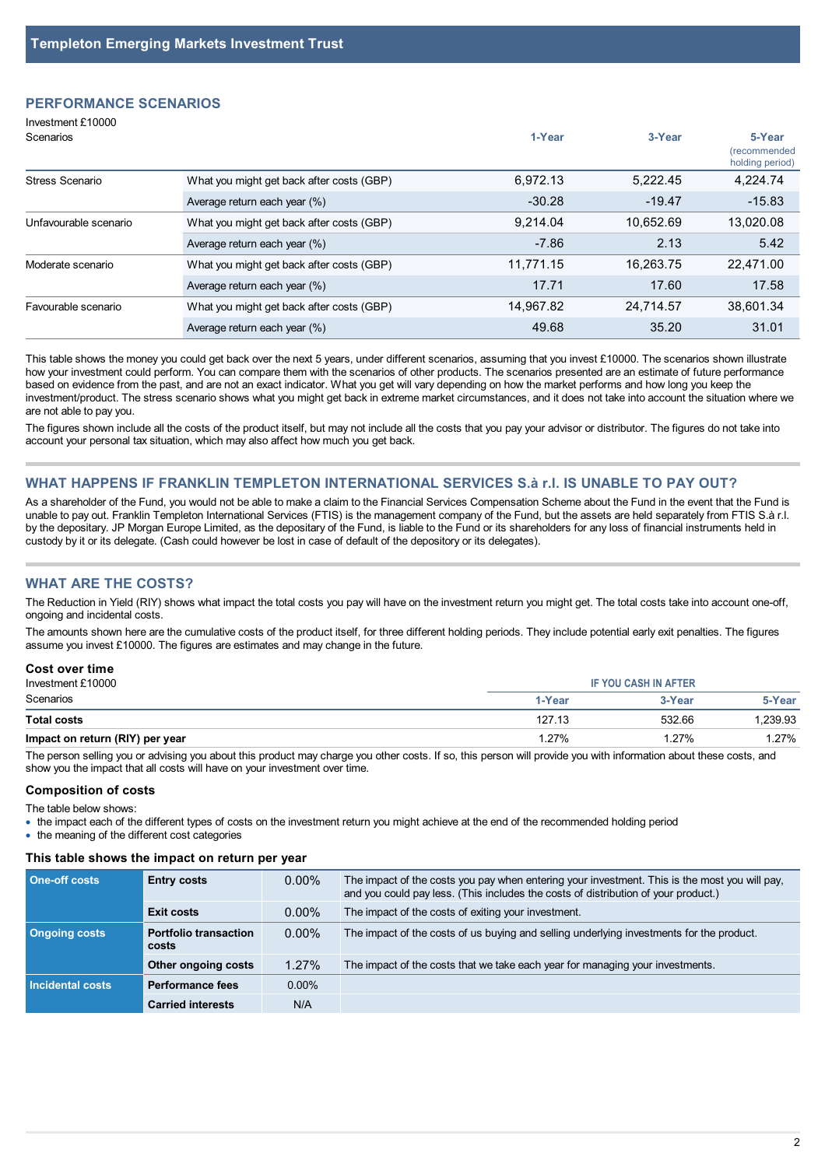# **PERFORMANCE SCENARIOS**

| Investment £10000<br>Scenarios |                                           | 1-Year    | 3-Year    | 5-Year<br><i>(recommended)</i><br>holding period) |
|--------------------------------|-------------------------------------------|-----------|-----------|---------------------------------------------------|
| Stress Scenario                | What you might get back after costs (GBP) | 6.972.13  | 5.222.45  | 4.224.74                                          |
|                                | Average return each year (%)              | $-30.28$  | $-19.47$  | $-15.83$                                          |
| Unfavourable scenario          | What you might get back after costs (GBP) | 9.214.04  | 10.652.69 | 13,020.08                                         |
|                                | Average return each year (%)              | $-7.86$   | 2.13      | 5.42                                              |
| Moderate scenario              | What you might get back after costs (GBP) | 11.771.15 | 16.263.75 | 22.471.00                                         |
|                                | Average return each year (%)              | 17.71     | 17.60     | 17.58                                             |
| Favourable scenario            | What you might get back after costs (GBP) | 14.967.82 | 24.714.57 | 38.601.34                                         |
|                                | Average return each year (%)              | 49.68     | 35.20     | 31.01                                             |

This table shows the money you could get back over the next 5 years, under different scenarios, assuming that you invest £10000. The scenarios shown illustrate how your investment could perform. You can compare them with the scenarios of other products. The scenarios presented are an estimate of future performance based on evidence from the past, and are not an exact indicator. What you get will vary depending on how the market performs and how long you keep the investment/product. The stress scenario shows what you might get back in extreme market circumstances, and it does not take into account the situation where we are not able to pay you.

The figures shown include all the costs of the product itself, but may not include allthe costs that you pay your advisor or distributor. The figures do not take into account your personal tax situation, which may also affect how much you get back.

#### **WHAT HAPPENS IF FRANKLIN TEMPLETON INTERNATIONAL SERVICES S.à r.l. IS UNABLE TO PAY OUT?**

As a shareholder of the Fund, you would not be able to make a claim to the Financial Services Compensation Scheme about the Fund in the event that the Fund is unable to pay out. Franklin Templeton International Services (FTIS) is the management company of the Fund, but the assets are held separately from FTIS S.à r.l. by the depositary. JP Morgan Europe Limited, as the depositary of the Fund, is liable to the Fund or its shareholders for any loss of financial instruments held in custody by itor its delegate. (Cash could however be lost in case of default of the depository or its delegates).

#### **WHAT ARE THE COSTS?**

The Reduction in Yield (RIY) shows what impact the total costs you pay will have on the investment return you might get. The total costs take into account one-off, ongoing and incidental costs.

The amounts shown here are the cumulative costs of the product itself, for three different holding periods. They include potential early exit penalties. The figures assume you invest £10000. The figures are estimates and may change in the future.

#### **Cost over time**

| Investment £10000               |                 | <b>IF YOU CASH IN AFTER</b> |         |  |
|---------------------------------|-----------------|-----------------------------|---------|--|
| Scenarios                       | 1-Year          | 3-Year                      | 5-Year  |  |
| <b>Total costs</b>              | 127.13          | 532.66                      | .239.93 |  |
| Impact on return (RIY) per year | $^{\circ}$ .27% | 1.27%                       | 1.27%   |  |

The person selling you or advising you about this product may charge you other costs. If so, this person will provide you with information about these costs. and show you the impact that all costs will have on your investment over time.

# **Composition of costs**

The table below shows:

· the impact each of the different types of costs on the investment return you might achieve at the end of the recommended holding period

• the meaning of the different cost categories

#### **This table shows the impact on return per year**

| One-off costs               | <b>Entry costs</b>                    | $0.00\%$ | The impact of the costs you pay when entering your investment. This is the most you will pay,<br>and you could pay less. (This includes the costs of distribution of your product.) |
|-----------------------------|---------------------------------------|----------|-------------------------------------------------------------------------------------------------------------------------------------------------------------------------------------|
|                             | <b>Exit costs</b>                     | $0.00\%$ | The impact of the costs of exiting your investment.                                                                                                                                 |
| <b>Ongoing costs</b>        | <b>Portfolio transaction</b><br>costs | $0.00\%$ | The impact of the costs of us buying and selling underlying investments for the product.                                                                                            |
|                             | Other ongoing costs                   | 1.27%    | The impact of the costs that we take each year for managing your investments.                                                                                                       |
| l Incidental costs <b>'</b> | <b>Performance fees</b>               | $0.00\%$ |                                                                                                                                                                                     |
|                             | <b>Carried interests</b>              | N/A      |                                                                                                                                                                                     |